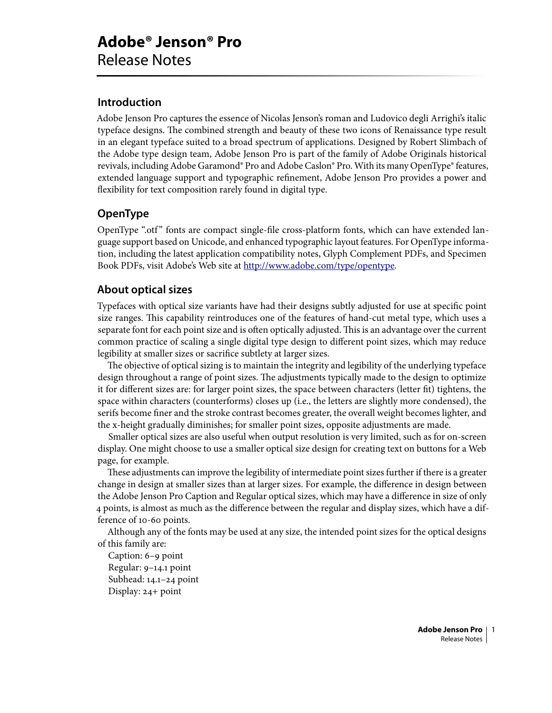# **Introduction**

Adobe Jenson Pro captures the essence of Nicolas Jenson's roman and Ludovico degli Arrighi's italic typeface designs. The combined strength and beauty of these two icons of Renaissance type result in an elegant typeface suited to a broad spectrum of applications. Designed by Robert Slimbach of the Adobe type design team, Adobe Jenson Pro is part of the family of Adobe Originals historical revivals, including Adobe Garamond® Pro and Adobe Caslon® Pro. With its many OpenType® features, extended language support and typographic refinement, Adobe Jenson Pro provides a power and flexibility for text composition rarely found in digital type.

# **OpenType**

OpenType ".otf" fonts are compact single-file cross-platform fonts, which can have extended language support based on Unicode, and enhanced typographic layout features. For OpenType information, including the latest application compatibility notes, Glyph Complement PDFs, and Specimen Book PDFs, visit Adobe's Web site at http://www.adobe.com/type/opentype.

# **About optical sizes**

Typefaces with optical size variants have had their designs subtly adjusted for use at specific point size ranges. This capability reintroduces one of the features of hand-cut metal type, which uses a separate font for each point size and is often optically adjusted. This is an advantage over the current common practice of scaling a single digital type design to different point sizes, which may reduce legibility at smaller sizes or sacrifice subtlety at larger sizes.

The objective of optical sizing is to maintain the integrity and legibility of the underlying typeface design throughout a range of point sizes. The adjustments typically made to the design to optimize it for different sizes are: for larger point sizes, the space between characters (letter fit) tightens, the space within characters (counterforms) closes up (i.e., the letters are slightly more condensed), the serifs become finer and the stroke contrast becomes greater, the overall weight becomes lighter, and the x-height gradually diminishes; for smaller point sizes, opposite adjustments are made.

Smaller optical sizes are also useful when output resolution is very limited, such as for on-screen display. One might choose to use a smaller optical size design for creating text on buttons for a Web page, for example.

These adjustments can improve the legibility of intermediate point sizes further if there is a greater change in design at smaller sizes than at larger sizes. For example, the difference in design between the Adobe Jenson Pro Caption and Regular optical sizes, which may have a difference in size of only points, is almost as much as the difference between the regular and display sizes, which have a difference of 10-60 points.

Although any of the fonts may be used at any size, the intended point sizes for the optical designs of this family are:

Caption: 6-9 point Regular: 9-14.1 point Subhead: 14.1-24 point Display: 24+ point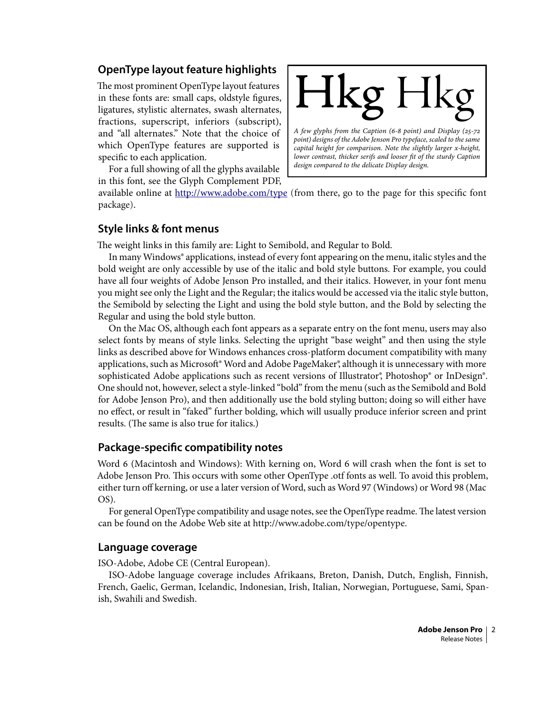# **OpenType layout feature highlights**

The most prominent OpenType layout features in these fonts are: small caps, oldstyle figures, ligatures, stylistic alternates, swash alternates, fractions, superscript, inferiors (subscript), and "all alternates." Note that the choice of which OpenType features are supported is specific to each application.

For a full showing of all the glyphs available in this font, see the Glyph Complement PDF,



available online at http://www.adobe.com/type (from there, go to the page for this specific font package).

### **Style links & font menus**

The weight links in this family are: Light to Semibold, and Regular to Bold.

In many Windows® applications, instead of every font appearing on the menu, italic styles and the bold weight are only accessible by use of the italic and bold style buttons. For example, you could have all four weights of Adobe Jenson Pro installed, and their italics. However, in your font menu you might see only the Light and the Regular; the italics would be accessed via the italic style button, the Semibold by selecting the Light and using the bold style button, and the Bold by selecting the Regular and using the bold style button.

On the Mac OS, although each font appears as a separate entry on the font menu, users may also select fonts by means of style links. Selecting the upright "base weight" and then using the style links as described above for Windows enhances cross-platform document compatibility with many applications, such as Microsoft® Word and Adobe PageMaker®, although it is unnecessary with more sophisticated Adobe applications such as recent versions of Illustrator<sup>®</sup>, Photoshop® or InDesign®. One should not, however, select a style-linked "bold" from the menu (such as the Semibold and Bold for Adobe Jenson Pro), and then additionally use the bold styling button; doing so will either have no effect, or result in "faked" further bolding, which will usually produce inferior screen and print results. (The same is also true for italics.)

### **Package-specific compatibility notes**

Word (Macintosh and Windows): With kerning on, Word 6 will crash when the font is set to Adobe Jenson Pro. This occurs with some other OpenType .otf fonts as well. To avoid this problem, either turn off kerning, or use a later version of Word, such as Word 97 (Windows) or Word 98 (Mac OS).

For general OpenType compatibility and usage notes, see the OpenType readme. The latest version can be found on the Adobe Web site at http://www.adobe.com/type/opentype.

#### **Language coverage**

ISO-Adobe, Adobe CE (Central European).

ISO-Adobe language coverage includes Afrikaans, Breton, Danish, Dutch, English, Finnish, French, Gaelic, German, Icelandic, Indonesian, Irish, Italian, Norwegian, Portuguese, Sami, Spanish, Swahili and Swedish.